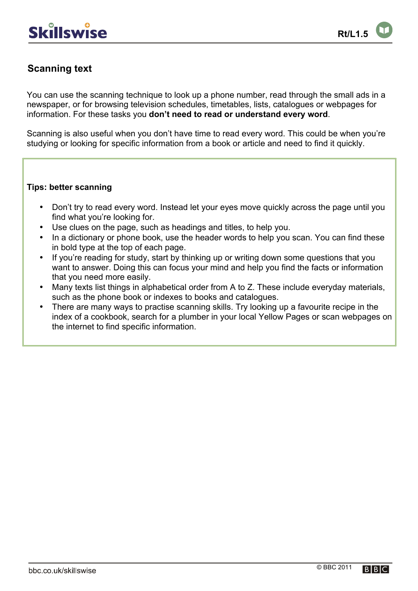## **Scanning text**

You can use the scanning technique to look up a phone number, read through the small ads in a newspaper, or for browsing television schedules, timetables, lists, catalogues or webpages for information. For these tasks you **don't need to read or understand every word**.

Scanning is also useful when you don't have time to read every word. This could be when you're studying or looking for specific information from a book or article and need to find it quickly.

## **Tips: better scanning**

- Don't try to read every word. Instead let your eyes move quickly across the page until you find what you're looking for.
- Use clues on the page, such as headings and titles, to help you.
- In a dictionary or phone book, use the header words to help you scan. You can find these in bold type at the top of each page.
- If you're reading for study, start by thinking up or writing down some questions that you want to answer. Doing this can focus your mind and help you find the facts or information that you need more easily.
- Many texts list things in alphabetical order from A to Z. These include everyday materials, such as the phone book or indexes to books and catalogues.
- There are many ways to practise scanning skills. Try looking up a favourite recipe in the index of a cookbook, search for a plumber in your local Yellow Pages or scan webpages on the internet to find specific information.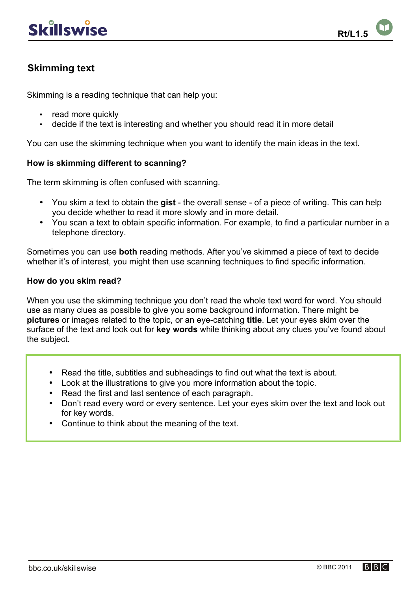## **Skimming text**

Skimming is a reading technique that can help you:

- read more quickly
- decide if the text is interesting and whether you should read it in more detail

You can use the skimming technique when you want to identify the main ideas in the text.

## **How is skimming different to scanning?**

The term skimming is often confused with scanning.

- You skim a text to obtain the **gist** the overall sense of a piece of writing. This can help you decide whether to read it more slowly and in more detail.
- You scan a text to obtain specific information. For example, to find a particular number in a telephone directory.

Sometimes you can use **both** reading methods. After you've skimmed a piece of text to decide whether it's of interest, you might then use scanning techniques to find specific information.

#### **How do you skim read?**

When you use the skimming technique you don't read the whole text word for word. You should use as many clues as possible to give you some background information. There might be **pictures** or images related to the topic, or an eye-catching **title**. Let your eyes skim over the surface of the text and look out for **key words** while thinking about any clues you've found about the subject.

- Read the title, subtitles and subheadings to find out what the text is about.
- Look at the illustrations to give you more information about the topic.
- Read the first and last sentence of each paragraph.
- Don't read every word or every sentence. Let your eves skim over the text and look out for key words.
- Continue to think about the meaning of the text.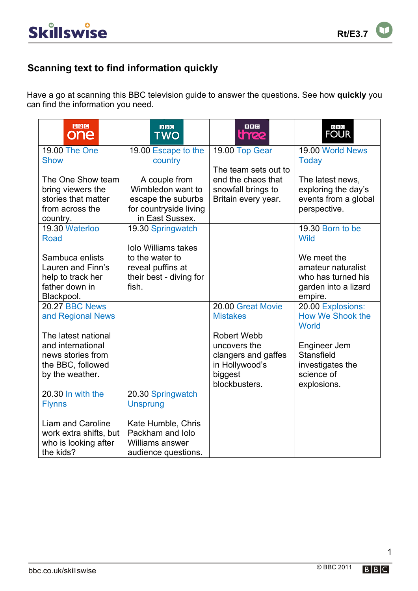## **Scanning text to find information quickly**

Have a go at scanning this BBC television guide to answer the questions. See how **quickly** you can find the information you need.

| <b>BBC</b><br>one                                  | <b>BBC</b><br>TWO                             | <b>BBC</b><br><b>thee</b>                  | B B C<br><b>FOUR</b>              |
|----------------------------------------------------|-----------------------------------------------|--------------------------------------------|-----------------------------------|
| 19.00 The One                                      | 19.00 Escape to the                           | 19.00 Top Gear                             | 19.00 World News                  |
| <b>Show</b>                                        | country                                       |                                            | <b>Today</b>                      |
| The One Show team                                  | A couple from                                 | The team sets out to<br>end the chaos that | The latest news,                  |
| bring viewers the                                  | Wimbledon want to                             | snowfall brings to                         | exploring the day's               |
| stories that matter                                | escape the suburbs                            | Britain every year.                        | events from a global              |
| from across the                                    | for countryside living                        |                                            | perspective.                      |
| country.                                           | in East Sussex.                               |                                            |                                   |
| 19.30 Waterloo                                     | 19.30 Springwatch                             |                                            | 19.30 Born to be                  |
| <b>Road</b>                                        |                                               |                                            | <b>Wild</b>                       |
| Sambuca enlists                                    | <b>Iolo Williams takes</b><br>to the water to |                                            | We meet the                       |
| Lauren and Finn's                                  | reveal puffins at                             |                                            | amateur naturalist                |
| help to track her                                  | their best - diving for                       |                                            | who has turned his                |
| father down in                                     | fish.                                         |                                            | garden into a lizard              |
| Blackpool.                                         |                                               |                                            | empire.                           |
| 20.27 BBC News                                     |                                               | 20.00 Great Movie                          | 20.00 Explosions:                 |
| and Regional News                                  |                                               | <b>Mistakes</b>                            | How We Shook the                  |
|                                                    |                                               |                                            | World                             |
| The latest national                                |                                               | <b>Robert Webb</b>                         |                                   |
| and international<br>news stories from             |                                               | uncovers the<br>clangers and gaffes        | Engineer Jem<br><b>Stansfield</b> |
| the BBC, followed                                  |                                               | in Hollywood's                             | investigates the                  |
| by the weather.                                    |                                               | biggest                                    | science of                        |
|                                                    |                                               | blockbusters.                              | explosions.                       |
| 20.30 In with the                                  | 20.30 Springwatch                             |                                            |                                   |
| <b>Flynns</b>                                      | <b>Unsprung</b>                               |                                            |                                   |
|                                                    |                                               |                                            |                                   |
| <b>Liam and Caroline</b><br>work extra shifts, but | Kate Humble, Chris<br>Packham and Jolo        |                                            |                                   |
| who is looking after                               | Williams answer                               |                                            |                                   |
| the kids?                                          | audience questions.                           |                                            |                                   |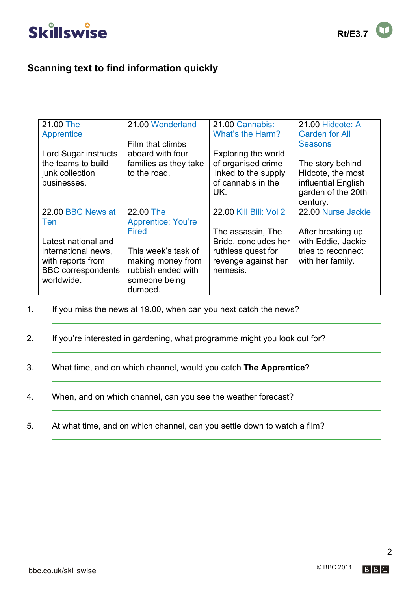## **Scanning text to find information quickly**

| 21.00 The                 | 21.00 Wonderland          | 21.00 Cannabis:        | 21.00 Hidcote: A      |
|---------------------------|---------------------------|------------------------|-----------------------|
| Apprentice                |                           | What's the Harm?       | <b>Garden for All</b> |
|                           | Film that climbs          |                        | <b>Seasons</b>        |
| Lord Sugar instructs      | aboard with four          | Exploring the world    |                       |
| the teams to build        | families as they take     | of organised crime     | The story behind      |
| junk collection           | to the road.              | linked to the supply   | Hidcote, the most     |
| businesses.               |                           | of cannabis in the     | influential English   |
|                           |                           | UK.                    | garden of the 20th    |
|                           |                           |                        | century.              |
| 22.00 BBC News at         | 22.00 The                 | 22.00 Kill Bill: Vol 2 | 22.00 Nurse Jackie    |
| Ten                       | <b>Apprentice: You're</b> |                        |                       |
|                           | <b>Fired</b>              | The assassin, The      | After breaking up     |
| Latest national and       |                           | Bride, concludes her   | with Eddie, Jackie    |
| international news,       | This week's task of       | ruthless quest for     | tries to reconnect    |
| with reports from         | making money from         | revenge against her    | with her family.      |
| <b>BBC</b> correspondents | rubbish ended with        | nemesis.               |                       |
| worldwide.                | someone being             |                        |                       |
|                           | dumped.                   |                        |                       |

- 1. If you miss the news at 19.00, when can you next catch the news?
- 2. If you're interested in gardening, what programme might you look out for?
- 3. What time, and on which channel, would you catch **The Apprentice**?
- 4. When, and on which channel, can you see the weather forecast?
- 5. At what time, and on which channel, can you settle down to watch a film?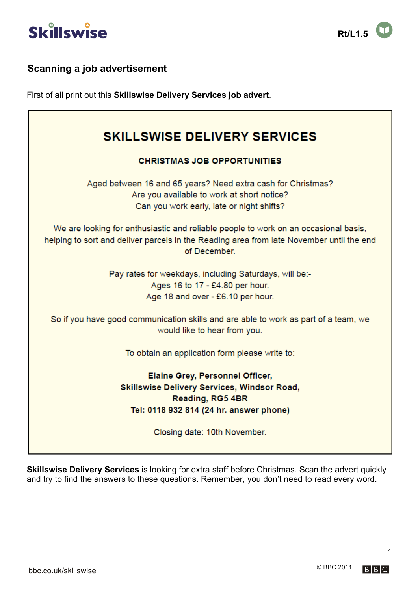## **Scanning a job advertisement**

First of all print out this **Skillswise Delivery Services job advert**.

| <b>SKILLSWISE DELIVERY SERVICES</b>                                                      |
|------------------------------------------------------------------------------------------|
|                                                                                          |
| <b>CHRISTMAS JOB OPPORTUNITIES</b>                                                       |
| Aged between 16 and 65 years? Need extra cash for Christmas?                             |
| Are you available to work at short notice?                                               |
| Can you work early, late or night shifts?                                                |
|                                                                                          |
| We are looking for enthusiastic and reliable people to work on an occasional basis,      |
| helping to sort and deliver parcels in the Reading area from late November until the end |
| of December.                                                                             |
|                                                                                          |
| Pay rates for weekdays, including Saturdays, will be:-                                   |
| Ages 16 to 17 - £4.80 per hour.                                                          |
| Age 18 and over - £6.10 per hour.                                                        |
|                                                                                          |
| So if you have good communication skills and are able to work as part of a team, we      |
| would like to hear from you.                                                             |
|                                                                                          |
| To obtain an application form please write to:                                           |
| <b>Elaine Grey, Personnel Officer,</b>                                                   |
| <b>Skillswise Delivery Services, Windsor Road,</b>                                       |
|                                                                                          |
| Reading, RG5 4BR                                                                         |
| Tel: 0118 932 814 (24 hr. answer phone)                                                  |
| Closing date: 10th November.                                                             |
|                                                                                          |
|                                                                                          |

**Skillswise Delivery Services** is looking for extra staff before Christmas. Scan the advert quickly and try to find the answers to these questions. Remember, you don't need to read every word.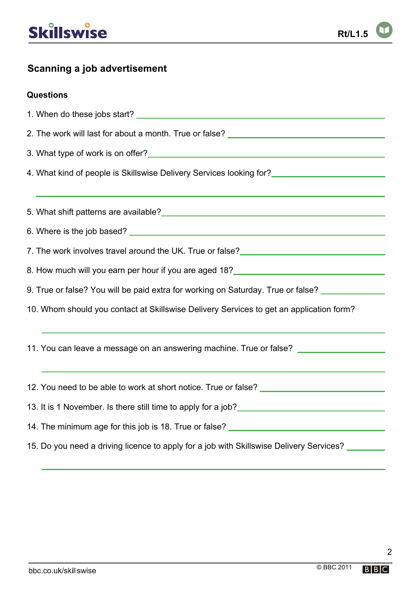# **Skillswise**

## **Scanning a job advertisement**

## **Questions**

| 2. The work will last for about a month. True or false? _________________________                                                                                                                                                             |
|-----------------------------------------------------------------------------------------------------------------------------------------------------------------------------------------------------------------------------------------------|
|                                                                                                                                                                                                                                               |
| 4. What kind of people is Skillswise Delivery Services looking for?<br><u>Land Correlian and Correlian and Correlian and Correlian and Correlian and Correlian and Correlian and Correli</u>                                                  |
|                                                                                                                                                                                                                                               |
| 5. What shift patterns are available?<br><u> and the contract of the contract of the contract of the contract of the contract of the contract of the contract of the contract of the contract of the contract of the contract of t</u>        |
|                                                                                                                                                                                                                                               |
|                                                                                                                                                                                                                                               |
| 8. How much will you earn per hour if you are aged 18?<br>Sand Connection 2010 18: The much will you are aged 18?                                                                                                                             |
| 9. True or false? You will be paid extra for working on Saturday. True or false? _________________                                                                                                                                            |
| 10. Whom should you contact at Skillswise Delivery Services to get an application form?                                                                                                                                                       |
|                                                                                                                                                                                                                                               |
| 11. You can leave a message on an answering machine. True or false?                                                                                                                                                                           |
|                                                                                                                                                                                                                                               |
| 12. You need to be able to work at short notice. True or false? ___________________________________                                                                                                                                           |
| 13. It is 1 November. Is there still time to apply for a job?<br><u>Lettica and the manual contract and the surface</u> and the state of the still time to apply for a job?<br><u>Lettica and the state and the state and the state and t</u> |
| 14. The minimum age for this job is 18. True or false? __________________________                                                                                                                                                             |
| 15. Do you need a driving licence to apply for a job with Skillswise Delivery Services?                                                                                                                                                       |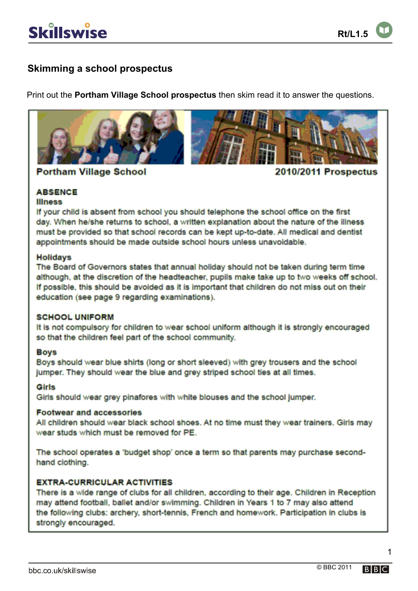## **Skimming a school prospectus**

Print out the **Portham Village School prospectus** then skim read it to answer the questions.



**Portham Village School** 

**2010/2011 Prospectus** 

## **ABSENCE**

#### **Illness**

If your child is absent from school you should telephone the school office on the first day. When he/she returns to school, a written explanation about the nature of the illness must be provided so that school records can be kept up-to-date. All medical and dentist appointments should be made outside school hours unless unavoidable.

## **Holidays**

The Board of Governors states that annual holiday should not be taken during term time although, at the discretion of the headteacher, pupils make take up to two weeks off school. If possible, this should be avoided as it is important that children do not miss out on their education (see page 9 regarding examinations).

## **SCHOOL UNIFORM**

It is not compulsory for children to wear school uniform although it is strongly encouraged so that the children feel part of the school community.

## **Boys**

Boys should wear blue shirts (long or short sleeved) with grey trousers and the school jumper. They should wear the blue and grey striped school ties at all times.

## Girls

Girls should wear grey pinafores with white blouses and the school jumper.

## **Footwear and accessories**

All children should wear black school shoes. At no time must they wear trainers. Girls may wear studs which must be removed for PE.

The school operates a 'budget shop' once a term so that parents may purchase secondhand clothing.

## **EXTRA-CURRICULAR ACTIVITIES**

There is a wide range of clubs for all children, according to their age. Children in Reception may attend football, ballet and/or swimming. Children in Years 1 to 7 may also attend the following clubs: archery, short-tennis, French and homework. Participation in clubs is strongly encouraged.